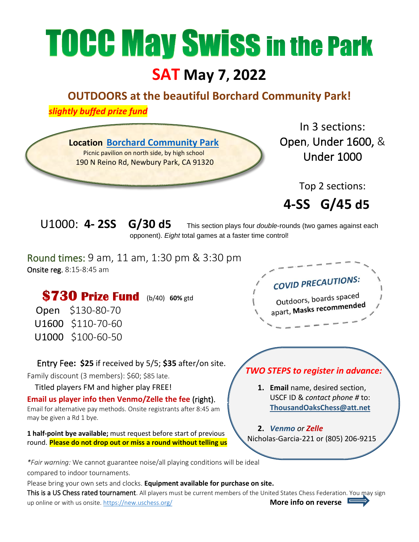## **TOCC May Swiss in the Park**

## **SAT May 7, 2022**

## **OUTDOORS at the beautiful Borchard Community Park!**

 *slightly buffed prize fund*



This is a US Chess rated tournament. All players must be current members of the United States Chess Federation. You may sign up online or with us onsite.<https://new.uschess.org/>**More info on reverse E**